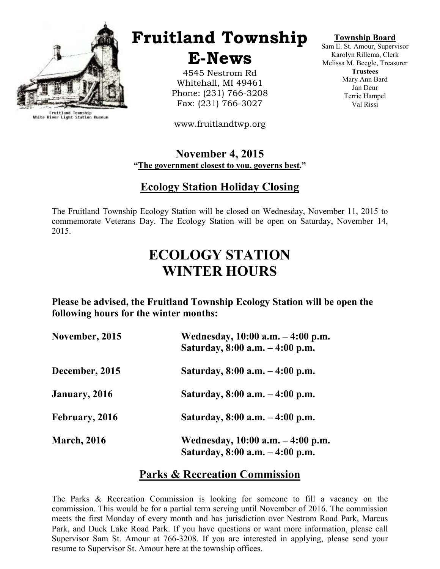

Fruitland Township<br>White River Light Station Museum

# Fruitland Township

E-News

4545 Nestrom Rd Whitehall, MI 49461 Phone: (231) 766-3208 Fax: (231) 766-3027

www.fruitlandtwp.org

#### November 4, 2015 "The government closest to you, governs best."

#### Ecology Station Holiday Closing

The Fruitland Township Ecology Station will be closed on Wednesday, November 11, 2015 to commemorate Veterans Day. The Ecology Station will be open on Saturday, November 14, 2015.

# ECOLOGY STATION WINTER HOURS

Please be advised, the Fruitland Township Ecology Station will be open the following hours for the winter months:

| November, 2015     | Wednesday, 10:00 a.m. - 4:00 p.m.<br>Saturday, 8:00 a.m. - 4:00 p.m. |
|--------------------|----------------------------------------------------------------------|
| December, 2015     | Saturday, 8:00 a.m. – 4:00 p.m.                                      |
| January, 2016      | Saturday, 8:00 a.m. – 4:00 p.m.                                      |
| February, 2016     | Saturday, $8:00$ a.m. $-4:00$ p.m.                                   |
| <b>March, 2016</b> | Wednesday, 10:00 a.m. – 4:00 p.m.<br>Saturday, 8:00 a.m. - 4:00 p.m. |

#### Parks & Recreation Commission

The Parks & Recreation Commission is looking for someone to fill a vacancy on the commission. This would be for a partial term serving until November of 2016. The commission meets the first Monday of every month and has jurisdiction over Nestrom Road Park, Marcus Park, and Duck Lake Road Park. If you have questions or want more information, please call Supervisor Sam St. Amour at 766-3208. If you are interested in applying, please send your resume to Supervisor St. Amour here at the township offices.

#### Township Board

Sam E. St. Amour, Supervisor Karolyn Rillema, Clerk Melissa M. Beegle, Treasurer **Trustees** Mary Ann Bard Jan Deur Terrie Hampel Val Rissi